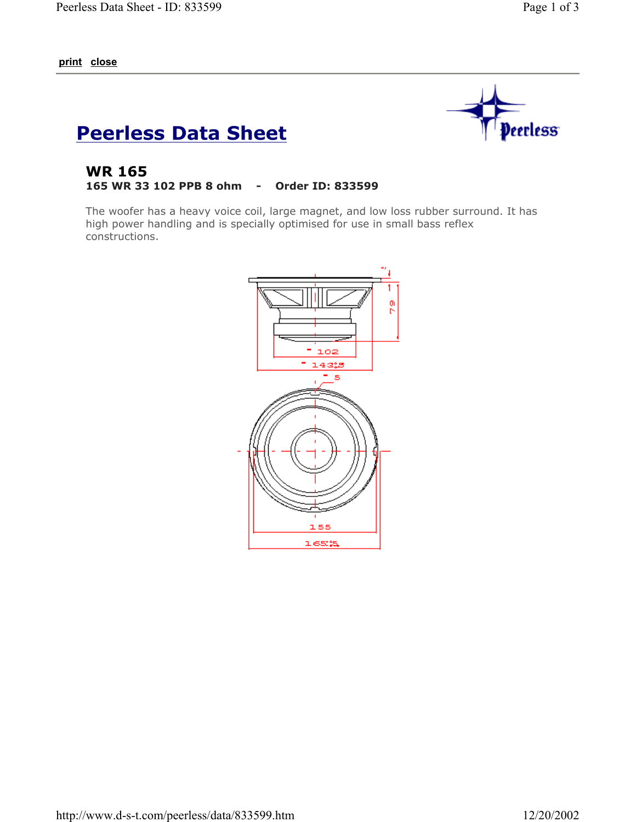**print close**



## **Peerless Data Sheet**

## **WR 165 165 WR 33 102 PPB 8 ohm - Order ID: 833599**

The woofer has a heavy voice coil, large magnet, and low loss rubber surround. It has high power handling and is specially optimised for use in small bass reflex constructions.

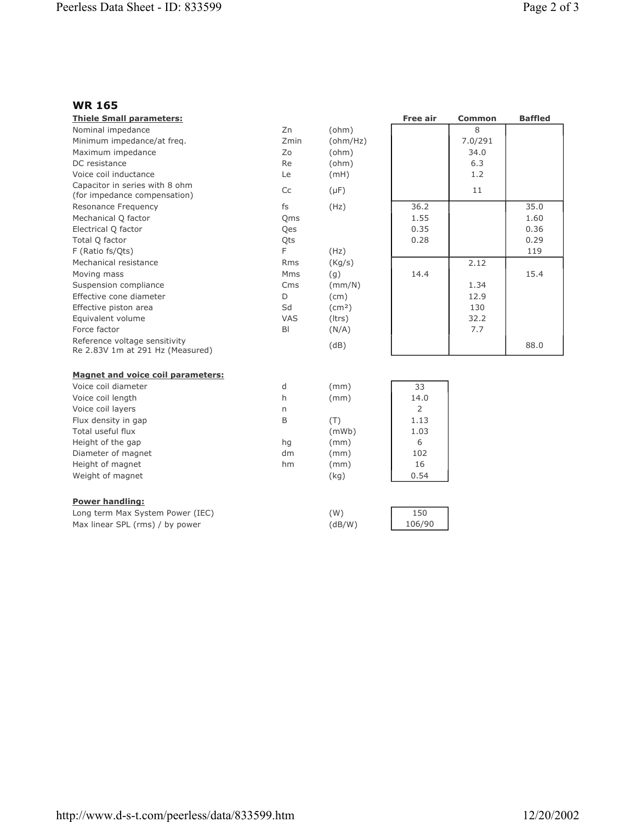## **WR 165**

| <b>Thiele Small parameters:</b>                                   |                |                 | <b>Free air</b> | <b>Common</b> | <b>Baffled</b> |
|-------------------------------------------------------------------|----------------|-----------------|-----------------|---------------|----------------|
| Nominal impedance                                                 | Zn             | (ohm)           |                 | 8             |                |
| Minimum impedance/at freq.                                        | Zmin           | (ohm/Hz)        |                 | 7.0/291       |                |
| Maximum impedance                                                 | Zo             | (ohm)           |                 | 34.0          |                |
| DC resistance                                                     | Re             | (ohm)           |                 | 6.3           |                |
| Voice coil inductance                                             | Le             | (mH)            |                 | 1.2           |                |
| Capacitor in series with 8 ohm<br>(for impedance compensation)    | Cc             | $(\mu F)$       |                 | 11            |                |
| Resonance Frequency                                               | fs             | (Hz)            | 36.2            |               | 35.0           |
| Mechanical Q factor                                               | Oms            |                 | 1.55            |               | 1.60           |
| Electrical Q factor                                               | Qes            |                 | 0.35            |               | 0.36           |
| Total Q factor                                                    | Qts            |                 | 0.28            |               | 0.29           |
| F (Ratio fs/Qts)                                                  | F              | (Hz)            |                 |               | 119            |
| Mechanical resistance                                             | <b>Rms</b>     | (Kq/s)          |                 | 2.12          |                |
| Moving mass                                                       | Mms            | (g)             | 14.4            |               | 15.4           |
| Suspension compliance                                             | Cms            | (mm/N)          |                 | 1.34          |                |
| Effective cone diameter                                           | D              | (cm)            |                 | 12.9          |                |
| Effective piston area                                             | Sd             | $\text{(cm}^2)$ |                 | 130           |                |
| Equivalent volume                                                 | <b>VAS</b>     | (ltrs)          |                 | 32.2          |                |
| Force factor                                                      | B <sub>l</sub> | (N/A)           |                 | 7.7           |                |
| Reference voltage sensitivity<br>Re 2.83V 1m at 291 Hz (Measured) |                | (dB)            |                 |               | 88.0           |
| <b>Magnet and voice coil parameters:</b>                          |                |                 |                 |               |                |
| Voice coil diameter                                               | d              | (mm)            | 33              |               |                |
| Voice coil length                                                 | h              | (mm)            | 14.0            |               |                |
| Voice coil layers                                                 | n              |                 | $\overline{2}$  |               |                |
| Flux density in gap                                               | B              | (T)             | 1.13            |               |                |
| Total useful flux                                                 |                | (mWb)           | 1.03            |               |                |
| Height of the gap                                                 | hg             | (mm)            | 6               |               |                |
| Diameter of magnet                                                | dm             | (mm)            | 102             |               |                |
| Height of magnet                                                  | hm             | (mm)            | 16              |               |                |
| Weight of magnet                                                  |                | (kq)            | 0.54            |               |                |
| <b>Power handling:</b>                                            |                |                 |                 |               |                |
| Long term Max System Power (IEC)                                  |                | (W)             | 150             |               |                |

Max linear SPL (rms) / by power  $(dB/W)$  106/90